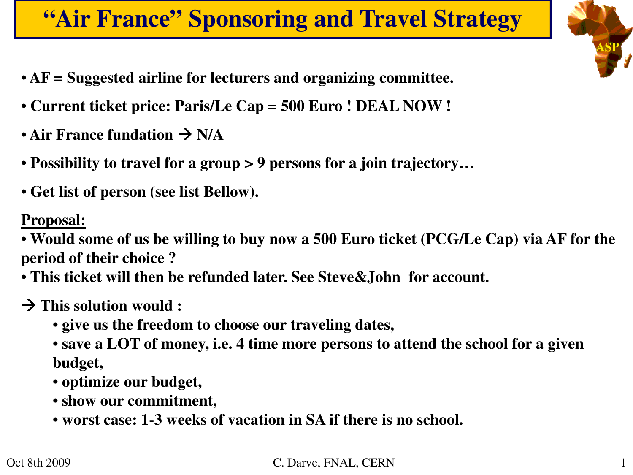# **"Air France" Sponsoring and Travel Strategy**

**ASP**

- **AF = Suggested airline for lecturers and organizing committee.**
- **Current ticket price: Paris/Le Cap = 500 Euro ! DEAL NOW !**
- Air France fundation  $\rightarrow$  N/A
- **Possibility to travel for a group > 9 persons for a join trajectory…**
- **Get list of person (see list Bellow).**

## **Proposal:**

• **Would some of us be willing to buy now a 500 Euro ticket (PCG/Le Cap) via AF for the period of their choice ?** 

• **This ticket will then be refunded later. See Steve&John for account.**

- à **This solution would :**
	- **give us the freedom to choose our traveling dates,**
	- **save a LOT of money, i.e. 4 time more persons to attend the school for a given budget,**
	- **optimize our budget,**
	- **show our commitment,**
	- **worst case: 1-3 weeks of vacation in SA if there is no school.**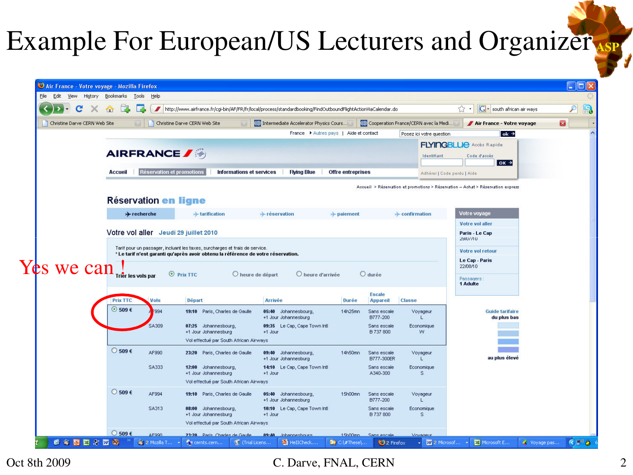# Example For European/US Lecturers and Organizer **ASP**

|                               |                                     |                           |                                                                                                                                                                  | http://www.airfrance.fr/cgi-bin/AF/FR/fr/local/process/standardbooking/FindOutboundFlightActionViaCalendar.do |                                 |                                      | G · south african air ways<br>53                                                | ₽            |
|-------------------------------|-------------------------------------|---------------------------|------------------------------------------------------------------------------------------------------------------------------------------------------------------|---------------------------------------------------------------------------------------------------------------|---------------------------------|--------------------------------------|---------------------------------------------------------------------------------|--------------|
| Christine Darve CERN Web Site |                                     |                           | Christine Darve CERN Web Site                                                                                                                                    | Co Intermediate Accelerator Physics Cours.                                                                    |                                 | Cooperation France/CERN avec la Medi | Air France - Votre voyage                                                       | $\mathbf{E}$ |
|                               |                                     |                           |                                                                                                                                                                  | France ▶ Autres pays   Aide et contact                                                                        |                                 | Posez ici votre question             | $ok \rightarrow$                                                                |              |
|                               | <b>AIRFRANCE</b>                    |                           |                                                                                                                                                                  |                                                                                                               |                                 | Identifiant                          | <b>FLYINGBLUE</b> Accès Rapide<br>Code d'accès<br>$0K \rightarrow$              |              |
|                               | Accueil                             | Réservation et promotions | Informations et services                                                                                                                                         | <b>Flying Blue</b><br><b>Offre</b> entreprises                                                                |                                 | Adhérer   Code perdu   Aide          |                                                                                 |              |
|                               |                                     |                           |                                                                                                                                                                  |                                                                                                               |                                 |                                      | Accueil > Réservation et promotions > Réservation - Achat > Réservation express |              |
|                               | <b>Réservation en ligne</b>         |                           |                                                                                                                                                                  |                                                                                                               |                                 |                                      |                                                                                 |              |
|                               |                                     |                           |                                                                                                                                                                  |                                                                                                               |                                 |                                      |                                                                                 |              |
|                               | $\rightarrow$ recherche             |                           | + tarification                                                                                                                                                   | + réservation<br>$\rightarrow$ paiement                                                                       |                                 | $\rightarrow$ confirmation           | Votre voyage<br>Votre vol aller                                                 |              |
|                               |                                     |                           | Votre vol aller Jeudi 29 juillet 2010                                                                                                                            |                                                                                                               |                                 |                                      | Paris - Le Cap                                                                  |              |
|                               |                                     |                           |                                                                                                                                                                  |                                                                                                               |                                 |                                      | 29/07/10                                                                        |              |
|                               |                                     |                           |                                                                                                                                                                  |                                                                                                               |                                 |                                      |                                                                                 |              |
|                               |                                     |                           | Tarif pour un passager, incluant les taxes, surcharges et frais de service.<br>* Le tarif n'est garanti qu'après avoir obtenu la référence de votre réservation. |                                                                                                               |                                 |                                      | Votre vol retour                                                                |              |
|                               |                                     |                           |                                                                                                                                                                  |                                                                                                               |                                 |                                      | Le Cap - Paris                                                                  |              |
|                               | Trier les vols par                  |                           | $\odot$ Prix TTC<br>C heure de départ                                                                                                                            | C heure d'arrivée                                                                                             | $O$ durée                       |                                      | 22/08/10                                                                        |              |
|                               |                                     |                           |                                                                                                                                                                  |                                                                                                               |                                 |                                      | Passagers<br>1 Adulte                                                           |              |
| Yes we can.                   |                                     |                           |                                                                                                                                                                  |                                                                                                               | <b>Escale</b>                   |                                      |                                                                                 |              |
|                               | <b>Prix TTC</b><br>⊙ 509 $\epsilon$ | <b>Vols</b><br>994        | <b>Départ</b>                                                                                                                                                    | <b>Arrivée</b><br>Durée                                                                                       | <b>Appareil</b>                 | <b>Classe</b>                        |                                                                                 |              |
|                               |                                     |                           | 19:10 Paris, Charles de Gaulle                                                                                                                                   | 05:40 Johannesbourg,<br>14h25mn<br>+1 Jour Johannesburg                                                       | Sans escale<br>B777-200         | Voyageur                             | <b>Guide tarifaire</b><br>du plus bas                                           |              |
|                               |                                     | <b>SA309</b>              | 07:25 Johannesbourg,<br>+1 Jour Johannesburg                                                                                                                     | 09:35 Le Cap, Cape Town Intl<br>+1 Jour                                                                       | Sans escale<br><b>B 737 800</b> | Economique<br>W.                     |                                                                                 |              |
|                               |                                     |                           | Vol effectué par South African Airways                                                                                                                           |                                                                                                               |                                 |                                      |                                                                                 |              |
|                               | ◯ 509 $€$                           | AF990                     | 23:20 Paris, Charles de Gaulle                                                                                                                                   | 09:40 Johannesbourg,<br>14h50mn                                                                               | Sans escale                     | Voyageur                             |                                                                                 |              |
|                               |                                     |                           |                                                                                                                                                                  | +1 Jour Johannesburg                                                                                          | <b>B777-300ER</b>               |                                      | au plus élevé                                                                   |              |
|                               |                                     | <b>SA333</b>              | 12:00 Johannesbourg,<br>+1 Jour Johannesburg                                                                                                                     | 14:10 Le Cap, Cape Town Intl<br>$+1$ Jour                                                                     | Sans escale<br>A340-300         | Economique<br>S.                     |                                                                                 |              |
|                               |                                     |                           | Vol effectué par South African Airways                                                                                                                           |                                                                                                               |                                 |                                      |                                                                                 |              |
|                               | $\bigcirc$ 509 €                    | AF994                     | 19:10 Paris, Charles de Gaulle                                                                                                                                   | 05:40 Johannesbourg,<br>15h00mn<br>+1 Jour Johannesburg                                                       | Sans escale<br>B777-200         | Voyageur                             |                                                                                 |              |
|                               |                                     | SA313                     | 08:00 Johannesbourg,<br>+1 Jour Johannesburg                                                                                                                     | 10:10 Le Cap, Cape Town Intl<br>+1 Jour                                                                       | Sans escale<br>B 737 800        | Economique<br>S.                     |                                                                                 |              |

Oct 8th 2009 C. Darve, FNAL, CERN 2009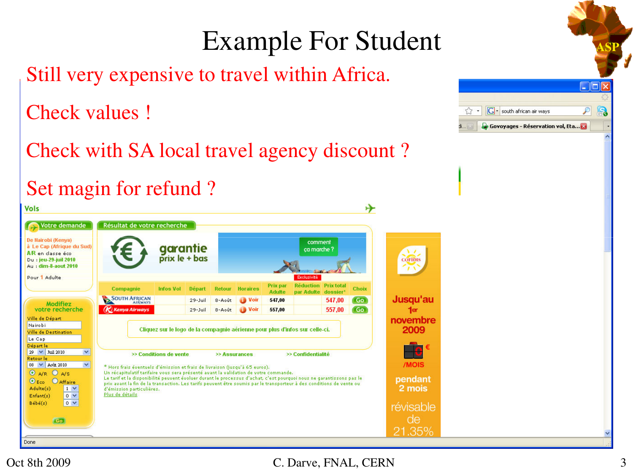### **Example For Student** Still very expensive to travel within Africa.  $\Box$ DIX Check values ! r.  $\frac{1}{2}$  .  $\overline{G}$  - south african air ways  $\mathcal{P}$ Govoyages - Réservation vol, Eta... Check with SA local travel agency discount ? Set magin for refund ? **Vols** ↬ Votre demande Résultat de votre recherche De Nairobi (Kenya) comment garantie<br>prix le + bas à Le Cap (Afrique du Sud) ca marche 1 A/R en classe éco Du : jeu-29-juil 2010 **COFIDIS** Au : dim-8-aout 2010 Pour 1 Adulte **Exclusivité Réduction Prix total** Prix par Compagnie Choix Infos Vol Départ Retour **Horaires Adulte** par Adulte dossier SOUTH AFRICAN Jusqu'au 547,00 Go 547,00 29-Juil 8-Août Voir Modifiez votre recherche **K** Kenya Airways 557,00 Go  $1<sub>er</sub>$  $29 -$ Juil 557.00 8-Août Ville de Départ novembre Nairobi Cliquez sur le logo de la compagnie aérienne pour plus d'infos sur celle-ci. 2009 Ville de Destination Le Cap Départ le Le: 29 V Juil 2010  $\overline{\mathbf{v}}$ >> Conditions de vente >> Assurances >> Confidentialité Retour le /MOIS 08 V Août 2010  $\checkmark$ \* Hors frais éventuels d'émission et frais de livraison (jusqu'à 65 euros). O A/R O A/S Un récapitulatif tarifaire vous sera présenté avant la validation de votre commande. Le tarif et la disponibilité peuvent évoluer durant le processus d'achat, c'est pourquoi nous ne garantissons pas le pendant  $\odot$  Eco **O** Affaire prix avant la fin de la transaction. Les tarifs peuvent être soumis par le transporteur à des conditions de vente ou 2 mois Adulte(s)  $1<sup>2</sup>$ d'émission narticulières.  $Enfant(s)$  $0<sup>4</sup>$ Plus de détails Bébé(s)  $0<sub>x</sub>$ révisable de Go. 21.35% Done

### Oct 8th 2009 C. Darve, FNAL, CERN 3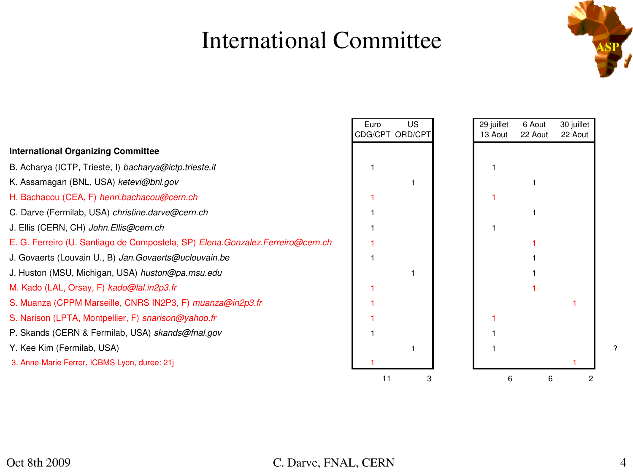## **International Committee**



|                                                                                  | Euro | US<br>CDG/CPT ORD/CPT | 29 juillet<br>13 Aout | 6 Aout<br>22 Aout | 30 juillet<br>22 Aout |
|----------------------------------------------------------------------------------|------|-----------------------|-----------------------|-------------------|-----------------------|
| <b>International Organizing Committee</b>                                        |      |                       |                       |                   |                       |
| B. Acharya (ICTP, Trieste, I) bacharya@ictp.trieste.it                           |      |                       |                       |                   |                       |
| K. Assamagan (BNL, USA) ketevi@bnl.gov                                           |      |                       |                       |                   |                       |
| H. Bachacou (CEA, F) henri.bachacou@cern.ch                                      |      |                       |                       |                   |                       |
| C. Darve (Fermilab, USA) christine.darve@cern.ch                                 |      |                       |                       |                   |                       |
| J. Ellis (CERN, CH) John. Ellis@cern.ch                                          |      |                       |                       |                   |                       |
| E. G. Ferreiro (U. Santiago de Compostela, SP) Elena. Gonzalez. Ferreiro@cern.ch |      |                       |                       |                   |                       |
| J. Govaerts (Louvain U., B) Jan. Govaerts@uclouvain.be                           |      |                       |                       |                   |                       |
| J. Huston (MSU, Michigan, USA) huston@pa.msu.edu                                 |      |                       |                       |                   |                       |
| M. Kado (LAL, Orsay, F) kado@lal.in2p3.fr                                        |      |                       |                       |                   |                       |
| S. Muanza (CPPM Marseille, CNRS IN2P3, F) muanza@in2p3.fr                        |      |                       |                       |                   |                       |
| S. Narison (LPTA, Montpellier, F) snarison@yahoo.fr                              |      |                       |                       |                   |                       |
| P. Skands (CERN & Fermilab, USA) skands@fnal.gov                                 |      |                       |                       |                   |                       |
| Y. Kee Kim (Fermilab, USA)                                                       |      |                       |                       |                   |                       |
| 3. Anne-Marie Ferrer, ICBMS Lyon, duree: 21j                                     |      |                       |                       |                   |                       |
|                                                                                  | 11   |                       | 6                     | 6                 |                       |

## Oct 8th 2009 C. Darve, FNAL, CERN 4